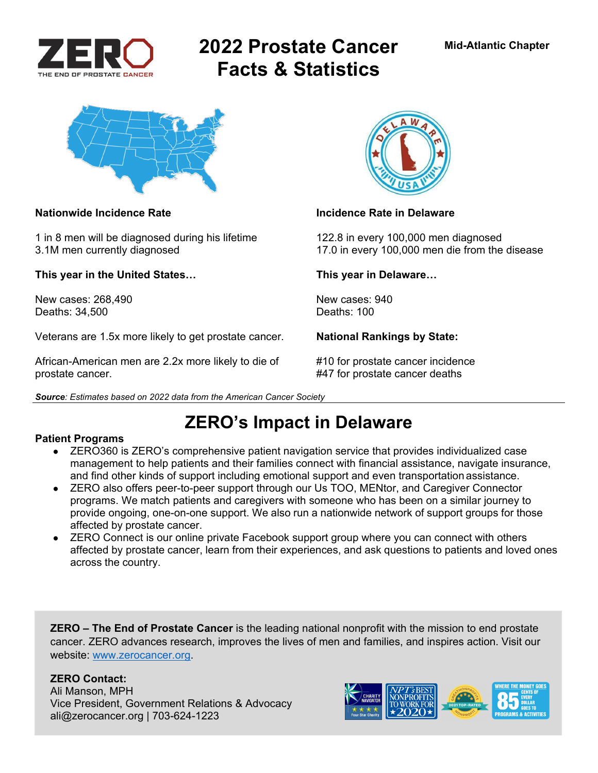

# **2022 Prostate Cancer Facts & Statistics**



1 in 8 men will be diagnosed during his lifetime 122.8 in every 100,000 men diagnosed

**This year in the United States… This year in Delaware…** 

New cases: 268.490 New cases: 940 Deaths: 34,500 Deaths: 100

Veterans are 1.5x more likely to get prostate cancer. **National Rankings by State:** 

African-American men are 2.2x more likely to die of #10 for prostate cancer incidence prostate cancer. #47 for prostate cancer deaths





### **Nationwide Incidence Rate Incidence Rate in Delaware Incidence Rate in Delaware**

3.1M men currently diagnosed 17.0 in every 100,000 men die from the disease

**ZERO's Impact in Delaware** 

### **Patient Programs**

- ZERO360 is ZERO's comprehensive patient navigation service that provides individualized case management to help patients and their families connect with financial assistance, navigate insurance, and find other kinds of support including emotional support and even transportation assistance.
- ZERO also offers peer-to-peer support through our Us TOO, MENtor, and Caregiver Connector programs. We match patients and caregivers with someone who has been on a similar journey to provide ongoing, one-on-one support. We also run a nationwide network of support groups for those affected by prostate cancer.
- ZERO Connect is our online private Facebook support group where you can connect with others affected by prostate cancer, learn from their experiences, and ask questions to patients and loved ones across the country.

**ZERO – The End of Prostate Cancer** is the leading national nonprofit with the mission to end prostate cancer. ZERO advances research, improves the lives of men and families, and inspires action. Visit our website: www.zerocancer.org.

### **ZERO Contact:**

Ali Manson, MPH Vice President, Government Relations & Advocacy ali@zerocancer.org | 703-624-1223